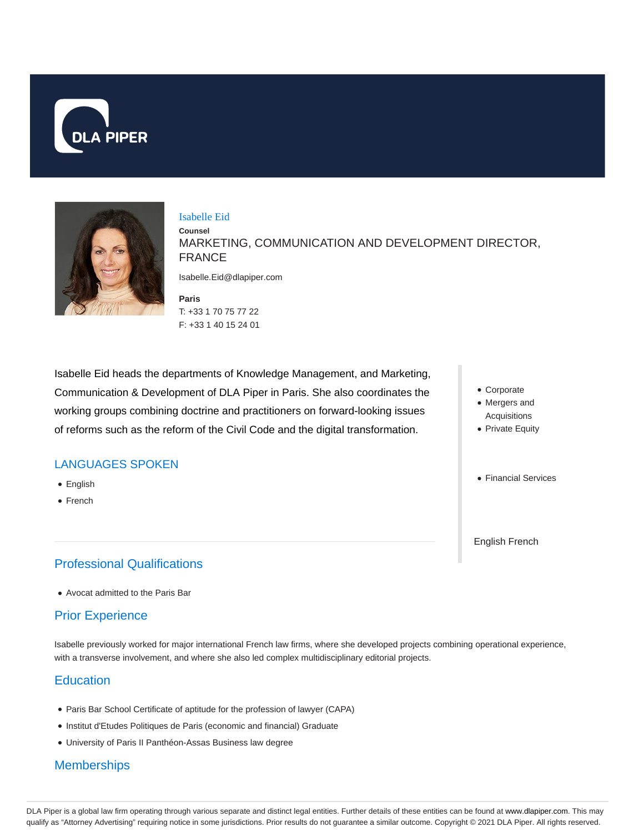



#### Isabelle Eid

**Counsel** MARKETING, COMMUNICATION AND DEVELOPMENT DIRECTOR, FRANCE

Isabelle.Eid@dlapiper.com

**Paris** T: +33 1 70 75 77 22 F: +33 1 40 15 24 01

Isabelle Eid heads the departments of Knowledge Management, and Marketing, Communication & Development of DLA Piper in Paris. She also coordinates the working groups combining doctrine and practitioners on forward-looking issues of reforms such as the reform of the Civil Code and the digital transformation.

## LANGUAGES SPOKEN

- English
- French

# Professional Qualifications

Avocat admitted to the Paris Bar

## Prior Experience

Isabelle previously worked for major international French law firms, where she developed projects combining operational experience, with a transverse involvement, and where she also led complex multidisciplinary editorial projects.

## **Education**

- Paris Bar School Certificate of aptitude for the profession of lawyer (CAPA)
- Institut d'Etudes Politiques de Paris (economic and financial) Graduate
- University of Paris II Panthéon-Assas Business law degree

# **Memberships**

Corporate

- Mergers and Acquisitions
- Private Equity
- Financial Services

English French